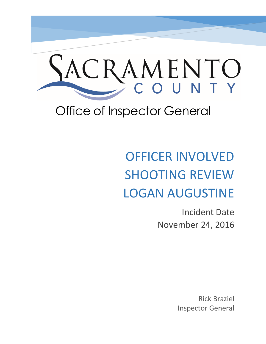

# Office of Inspector General

# OFFICER INVOLVED SHOOTING REVIEW LOGAN AUGUSTINE

Incident Date November 24, 2016

> Rick Braziel Inspector General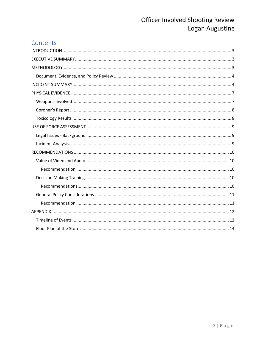## Contents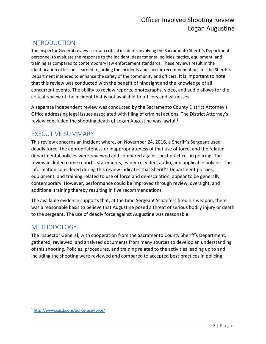## <span id="page-2-0"></span>INTRODUCTION

The Inspector General reviews certain critical incidents involving the Sacramento Sheriff's Department personnel to evaluate the response to the incident, departmental policies, tactics, equipment, and training as compared to contemporary law enforcement standards. These reviews result in the identification of lessons learned regarding the incidents and specific recommendations for the Sheriff's Department intended to enhance the safety of the community and officers. It is important to note that this review was conducted with the benefit of hindsight and the knowledge of all concurrent events. The ability to review reports, photographs, video, and audio allows for the critical review of the incident that is not available to officers and witnesses.

A separate independent review was conducted by the Sacramento County District Attorney's Office addressing legal issues associated with filing of criminal actions. The District Attorney's review concluded the shooting death of Logan Augustine was lawful.<sup>1</sup>

## <span id="page-2-1"></span>EXECUTIVE SUMMARY

This review concerns an incident where, on November 24, 2016, a Sheriff's Sergeant used deadly force, the appropriateness or inappropriateness of that use of force, and the related departmental policies were reviewed and compared against best practices in policing. The review included crime reports, statements, evidence, video, audio, and applicable policies. The information considered during this review indicates that Sheriff's Department policies, equipment, and training related to use of force and de-escalation, appear to be generally contemporary. However, performance could be improved through review, oversight, and additional training thereby resulting in five recommendations.

The available evidence supports that, at the time Sergeant Schaefers fired his weapon, there was a reasonable basis to believe that Augustine posed a threat of serious bodily injury or death to the sergeant. The use of deadly force against Augustine was reasonable.

## <span id="page-2-2"></span>**METHODOLOGY**

The Inspector General, with cooperation from the Sacramento County Sheriff's Department, gathered, reviewed, and analyzed documents from many sources to develop an understanding of this shooting. Policies, procedures, and training related to the activities leading up to and including the shooting were reviewed and compared to accepted best practices in policing.

 $\overline{\phantom{a}}$ 

<sup>1</sup> <http://www.sacda.org/police-use-force/>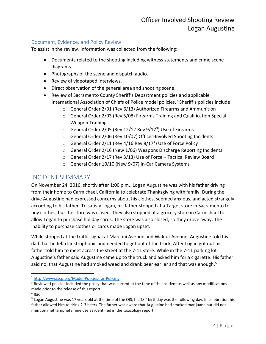#### <span id="page-3-0"></span>Document, Evidence, and Policy Review

To assist in the review, information was collected from the following:

- Documents related to the shooting including witness statements and crime scene diagrams.
- Photographs of the scene and dispatch audio.
- Review of videotaped interviews.
- Direct observation of the general area and shooting scene.
- Review of Sacramento County Sheriff's Department policies and applicable International Association of Chiefs of Police model policies.<sup>2</sup> Sheriff's policies include:
	- o General Order 2/01 (Rev 6/13) Authorized Firearms and Ammunition
	- o General Order 2/03 (Rev 5/08) Firearms Training and Qualification Special Weapon Training
	- $\circ$  General Order 2/05 (Rev 12/12 Rev 9/17<sup>3</sup>) Use of Firearms
	- o General Order 2/06 (Rev 10/07) Officer-Involved Shooting Incidents
	- $\circ$  General Order 2/11 (Rev 4/16 Rev 8/17<sup>4</sup>) Use of Force Policy
	- o General Order 2/16 (New 1/06) Weapons Discharge Reporting Incidents
	- o General Order 2/17 (Rev 3/13) Use of Force Tactical Review Board
	- o General Order 10/10 (New 9/07) In-Car Camera Systems

## <span id="page-3-1"></span>INCIDENT SUMMARY

On November 24, 2016, shortly after 1:00 p.m., Logan Augustine was with his father driving from their home to Carmichael, California to celebrate Thanksgiving with family. During the drive Augustine had expressed concerns about his clothes, seemed anxious, and acted strangely according to his father. To satisfy Logan, his father stopped at a Target store in Sacramento to buy clothes, but the store was closed. They also stopped at a grocery store in Carmichael to allow Logan to purchase holiday cards. The store was also closed, so they drove away. The inability to purchase clothes or cards made Logan upset.

While stopped at the traffic signal at Marconi Avenue and Walnut Avenue, Augustine told his dad that he felt claustrophobic and needed to get out of the truck. After Logan got out his father told him to meet across the street at the 7-11 store. While in the 7-11 parking lot Augustine's father said Augustine came up to the truck and asked him for a cigarette. His father said no, that Augustine had smoked weed and drank beer earlier and that was enough.<sup>5</sup>

 $\overline{a}$ 

<sup>2</sup> <http://www.iacp.org/Model-Policies-for-Policing>

 $3$  Reviewed policies included the policy that was current at the time of the incident as well as any modifications made prior to the release of this report.

<sup>4</sup> Ibid

<sup>&</sup>lt;sup>5</sup> Logan Augustine was 17 years old at the time of the OIS, his 18<sup>th</sup> birthday was the following day. In celebration his father allowed him to drink 2-3 beers. The father was aware that Augustine had smoked marijuana but did not mention methamphetamine use as identified in the toxicology report.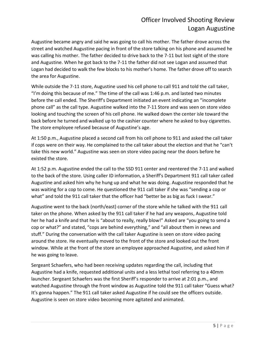Augustine became angry and said he was going to call his mother. The father drove across the street and watched Augustine pacing in front of the store talking on his phone and assumed he was calling his mother. The father decided to drive back to the 7-11 but lost sight of the store and Augustine. When he got back to the 7-11 the father did not see Logan and assumed that Logan had decided to walk the few blocks to his mother's home. The father drove off to search the area for Augustine.

While outside the 7-11 store, Augustine used his cell phone to call 911 and told the call taker, "I'm doing this because of me." The time of the call was 1:46 p.m. and lasted two minutes before the call ended. The Sheriff's Department initiated an event indicating an "incomplete phone call" as the call type. Augustine walked into the 7-11 Store and was seen on store video looking and touching the screen of his cell phone. He walked down the center isle toward the back before he turned and walked up to the cashier counter where he asked to buy cigarettes. The store employee refused because of Augustine's age.

At 1:50 p.m., Augustine placed a second call from his cell phone to 911 and asked the call taker if cops were on their way. He complained to the call taker about the election and that he "can't take this new world." Augustine was seen on store video pacing near the doors before he existed the store.

At 1:52 p.m. Augustine ended the call to the SSD 911 center and reentered the 7-11 and walked to the back of the store. Using caller ID information, a Sheriff's Department 911 call taker called Augustine and asked him why he hung up and what he was doing. Augustine responded that he was waiting for a cop to come. He questioned the 911 call taker if she was "sending a cop or what" and told the 911 call taker that the officer had "better be as big as fuck I swear."

Augustine went to the back (north/east) corner of the store while he talked with the 911 call taker on the phone. When asked by the 911 call taker if he had any weapons, Augustine told her he had a knife and that he is "about to really, really blow!" Asked are "you going to send a cop or what?" and stated, "cops are behind everything," and "all about them in news and stuff." During the conversation with the call taker Augustine is seen on store video pacing around the store. He eventually moved to the front of the store and looked out the front window. While at the front of the store an employee approached Augustine, and asked him if he was going to leave.

Sergeant Schaefers, who had been receiving updates regarding the call, including that Augustine had a knife, requested additional units and a less lethal tool referring to a 40mm launcher. Sergeant Schaefers was the first Sheriff's responder to arrive at 2:01 p.m., and watched Augustine through the front window as Augustine told the 911 call taker "Guess what? It's gonna happen." The 911 call taker asked Augustine if he could see the officers outside. Augustine is seen on store video becoming more agitated and animated.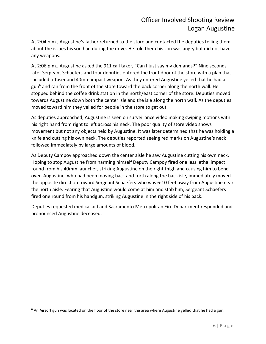At 2:04 p.m., Augustine's father returned to the store and contacted the deputies telling them about the issues his son had during the drive. He told them his son was angry but did not have any weapons.

At 2:06 p.m., Augustine asked the 911 call taker, "Can I just say my demands?" Nine seconds later Sergeant Schaefers and four deputies entered the front door of the store with a plan that included a Taser and 40mm impact weapon. As they entered Augustine yelled that he had a gun $<sup>6</sup>$  and ran from the front of the store toward the back corner along the north wall. He</sup> stopped behind the coffee drink station in the north/east corner of the store. Deputies moved towards Augustine down both the center isle and the isle along the north wall. As the deputies moved toward him they yelled for people in the store to get out.

As deputies approached, Augustine is seen on surveillance video making swiping motions with his right hand from right to left across his neck. The poor quality of store video shows movement but not any objects held by Augustine. It was later determined that he was holding a knife and cutting his own neck. The deputies reported seeing red marks on Augustine's neck followed immediately by large amounts of blood.

As Deputy Campoy approached down the center aisle he saw Augustine cutting his own neck. Hoping to stop Augustine from harming himself Deputy Campoy fired one less lethal impact round from his 40mm launcher, striking Augustine on the right thigh and causing him to bend over. Augustine, who had been moving back and forth along the back isle, immediately moved the opposite direction toward Sergeant Schaefers who was 6-10 feet away from Augustine near the north aisle. Fearing that Augustine would come at him and stab him, Sergeant Schaefers fired one round from his handgun, striking Augustine in the right side of his back.

Deputies requested medical aid and Sacramento Metropolitan Fire Department responded and pronounced Augustine deceased.

 $\overline{\phantom{a}}$ 

 $6$  An Airsoft gun was located on the floor of the store near the area where Augustine yelled that he had a gun.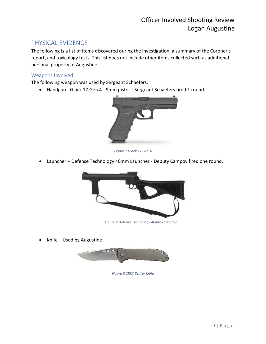## <span id="page-6-0"></span>PHYSICAL EVIDENCE

The following is a list of items discovered during the investigation, a summary of the Coroner's report, and toxicology tests. This list does not include other items collected such as additional personal property of Augustine.

## <span id="page-6-1"></span>Weapons Involved

The following weapon was used by Sergeant Schaefers:

• Handgun - Glock 17 Gen 4 - 9mm pistol – Sergeant Schaefers fired 1 round.



*Figure 1 Glock 17 Gen 4*

• Launcher – Defense Technology 40mm Launcher - Deputy Campoy fired one round.



*Figure 2 Defense Technology 40mm Launcher*

• Knife – Used by Augustine



*Figure 3 CRKT Drifter Knife*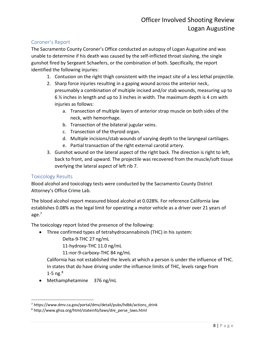## <span id="page-7-0"></span>Coroner's Report

The Sacramento County Coroner's Office conducted an autopsy of Logan Augustine and was unable to determine if his death was caused by the self-inflicted throat slashing, the single gunshot fired by Sergeant Schaefers, or the combination of both. Specifically, the report identified the following injuries:

- 1. Contusion on the right thigh consistent with the impact site of a less lethal projectile.
- 2. Sharp force injuries resulting in a gaping wound across the anterior neck, presumably a combination of multiple incised and/or stab wounds, measuring up to 6 ½ inches in length and up to 3 inches in width. The maximum depth is 4 cm with injuries as follows:
	- a. Transection of multiple layers of anterior strap muscle on both sides of the neck, with hemorrhage.
	- b. Transection of the bilateral jugular veins.
	- c. Transection of the thyroid organ.
	- d. Multiple incisions/stab wounds of varying depth to the laryngeal cartilages.
	- e. Partial transaction of the right external carotid artery.
- 3. Gunshot wound on the lateral aspect of the right back. The direction is right to left, back to front, and upward. The projectile was recovered from the muscle/soft tissue overlying the lateral aspect of left rib 7.

#### <span id="page-7-1"></span>Toxicology Results

 $\overline{\phantom{a}}$ 

Blood alcohol and toxicology tests were conducted by the Sacramento County District Attorney's Office Crime Lab.

The blood alcohol report measured blood alcohol at 0.028%. For reference California law establishes 0.08% as the legal limit for operating a motor vehicle as a driver over 21 years of age. 7

The toxicology report listed the presence of the following:

• Three confirmed types of tetrahydrocannabinols (THC) in his system:

Delta-9-THC 27 ng/mL

11-hydroxy-THC 11.0 ng/mL

11-nor-9-carboxy-THC 84 ng/mL

California has not established the levels at which a person is under the influence of THC. In states that do have driving under the influence limits of THC, levels range from 1-5 ng. $8$ 

• Methamphetamine 376 ng/mL

<sup>7</sup> https://www.dmv.ca.gov/portal/dmv/detail/pubs/hdbk/actions\_drink

<sup>8</sup> http://www.ghsa.org/html/stateinfo/laws/dre\_perse\_laws.html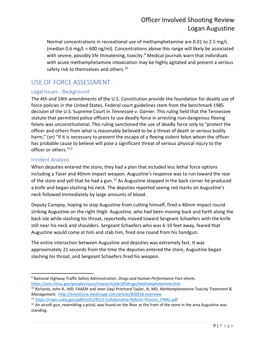Normal concentrations in recreational use of methamphetamine are 0.01 to 2.5 mg/L (median 0.6 mg/L = 600 ng/ml). Concentrations above this range will likely be associated with severe, possibly life threatening, toxicity.<sup>9</sup> Medical journals warn that individuals with acute methamphetamine intoxication may be highly agitated and present a serious safety risk to themselves and others.<sup>10</sup>

## <span id="page-8-0"></span>USE OF FORCE ASSESSMENT

## <span id="page-8-1"></span>Legal Issues - Background

The 4th and 14th amendments of the U.S. Constitution provide the foundation for deadly use of force policies in the United States. Federal court guidelines stem from the benchmark 1985 decision of the U.S. Supreme Court in *Tennessee* v. *Garner*. This ruling held that the Tennessee statute that permitted police officers to use deadly force in arresting non-dangerous fleeing felons was unconstitutional. This ruling sanctioned the use of deadly force only to "protect the officer and others from what is reasonably believed to be a threat of death or serious bodily harm," (or) "if it is necessary to prevent the escape of a fleeing violent felon whom the officer has probable cause to believe will pose a significant threat of serious physical injury to the officer or others."<sup>11</sup>

#### <span id="page-8-2"></span>Incident Analysis

When deputies entered the store, they had a plan that included less lethal force options including a Taser and 40mm impact weapon. Augustine's response was to run toward the rear of the store and yell that he had a gun.<sup>12</sup> As Augustine stopped in the back corner he produced a knife and began slashing his neck. The deputies reported seeing red marks on Augustine's neck followed immediately by large amounts of blood.

Deputy Campoy, hoping to stop Augustine from cutting himself, fired a 40mm impact round striking Augustine on the right thigh. Augustine, who had been moving back and forth along the back isle while slashing his throat, reportedly moved toward Sergeant Schaefers with the knife still near his neck and shoulders. Sergeant Schaefers who was 6-10 feet away, feared that Augustine would come at him and stab him, fired one round from his handgun.

The entire interaction between Augustine and deputies was extremely fast. It was approximately 21 seconds from the time the deputies entered the store, Augustine began slashing his throat, and Sergeant Schaefers fired his weapon.

 $\overline{a}$ <sup>9</sup> National Highway Traffic Safety Administration. *Drugs and Human Performance Fact sheets*. <https://one.nhtsa.gov/people/injury/research/job185drugs/methamphetamine.htm>

<sup>10</sup> Richards, John R., MD, FAAEM and Jeter (Jay) Pritchard Taylor, III, MD*. Methamphetamine Toxicity Treatment & Management.* <http://emedicine.medscape.com/article/820918-overview>

<sup>11</sup> [https://cops.usdoj.gov/pdf/e10129513-Collaborative-Reform-Process\\_FINAL.pdf](https://cops.usdoj.gov/pdf/e10129513-Collaborative-Reform-Process_FINAL.pdf)

 $12$  An airsoft gun, resembling a pistol, was found on the floor at the front of the store in the area Augustine was standing.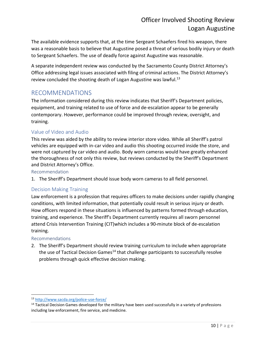The available evidence supports that, at the time Sergeant Schaefers fired his weapon, there was a reasonable basis to believe that Augustine posed a threat of serious bodily injury or death to Sergeant Schaefers. The use of deadly force against Augustine was reasonable.

A separate independent review was conducted by the Sacramento County District Attorney's Office addressing legal issues associated with filing of criminal actions. The District Attorney's review concluded the shooting death of Logan Augustine was lawful. $^{13}$ 

## <span id="page-9-0"></span>RECOMMENDATIONS

The information considered during this review indicates that Sheriff's Department policies, equipment, and training related to use of force and de-escalation appear to be generally contemporary. However, performance could be improved through review, oversight, and training.

## <span id="page-9-1"></span>Value of Video and Audio

This review was aided by the ability to review interior store video. While all Sheriff's patrol vehicles are equipped with in-car video and audio this shooting occurred inside the store, and were not captured by car video and audio. Body worn cameras would have greatly enhanced the thoroughness of not only this review, but reviews conducted by the Sheriff's Department and District Attorney's Office.

#### <span id="page-9-2"></span>Recommendation

1. The Sheriff's Department should issue body worn cameras to all field personnel.

## <span id="page-9-3"></span>Decision Making Training

Law enforcement is a profession that requires officers to make decisions under rapidly changing conditions, with limited information, that potentially could result in serious injury or death. How officers respond in these situations is influenced by patterns formed through education, training, and experience. The Sheriff's Department currently requires all sworn personnel attend Crisis Intervention Training (CIT)which includes a 90-minute block of de-escalation training.

#### <span id="page-9-4"></span>Recommendations

2. The Sheriff's Department should review training curriculum to include when appropriate the use of Tactical Decision Games<sup>14</sup> that challenge participants to successfully resolve problems through quick effective decision making.

 $\overline{a}$ <sup>13</sup> <http://www.sacda.org/police-use-force/>

<sup>&</sup>lt;sup>14</sup> Tactical Decision Games developed for the military have been used successfully in a variety of professions including law enforcement, fire service, and medicine.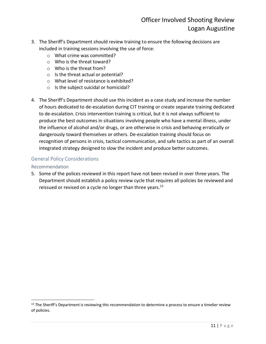- 3. The Sheriff's Department should review training to ensure the following decisions are included in training sessions involving the use of force:
	- o What crime was committed?
	- o Who is the threat toward?
	- o Who is the threat from?
	- o Is the threat actual or potential?
	- o What level of resistance is exhibited?
	- o Is the subject suicidal or homicidal?
- 4. The Sheriff's Department should use this incident as a case study and increase the number of hours dedicated to de-escalation during CIT training or create separate training dedicated to de-escalation. Crisis intervention training is critical, but it is not always sufficient to produce the best outcomes in situations involving people who have a mental illness, under the influence of alcohol and/or drugs, or are otherwise in crisis and behaving erratically or dangerously toward themselves or others. De-escalation training should focus on recognition of persons in crisis, tactical communication, and safe tactics as part of an overall integrated strategy designed to slow the incident and produce better outcomes.

#### <span id="page-10-0"></span>General Policy Considerations

#### <span id="page-10-1"></span>Recommendation

 $\overline{\phantom{a}}$ 

5. Some of the polices reviewed in this report have not been revised in over three years. The Department should establish a policy review cycle that requires all policies be reviewed and reissued or revised on a cycle no longer than three years.<sup>15</sup>

<sup>&</sup>lt;sup>15</sup> The Sheriff's Department is reviewing this recommendation to determine a process to ensure a timelier review of policies.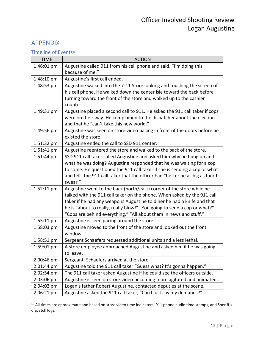## <span id="page-11-0"></span>APPENDIX

<span id="page-11-1"></span>Timeline of Events<sup>16</sup>

| <b>TIME</b> | <b>ACTION</b>                                                                                                                                                                                                                                                                                                                                                              |
|-------------|----------------------------------------------------------------------------------------------------------------------------------------------------------------------------------------------------------------------------------------------------------------------------------------------------------------------------------------------------------------------------|
| 1:46:01 pm  | Augustine called 911 from his cell phone and said, "I'm doing this<br>because of me."                                                                                                                                                                                                                                                                                      |
| 1:48:10 pm  | Augustine's first call ended.                                                                                                                                                                                                                                                                                                                                              |
| 1:48:53 pm  | Augustine walked into the 7-11 Store looking and touching the screen of<br>his cell phone. He walked down the center isle toward the back before<br>turning toward the front of the store and walked up to the cashier<br>counter.                                                                                                                                         |
| 1:49:31 pm  | Augustine placed a second call to 911. He asked the 911 call taker if cops<br>were on their way. He complained to the dispatcher about the election<br>and that he "can't take this new world."                                                                                                                                                                            |
| 1:49:56 pm  | Augustine was seen on store video pacing in front of the doors before he<br>existed the store.                                                                                                                                                                                                                                                                             |
| 1:51:32 pm  | Augustine ended the call to SSD 911 center.                                                                                                                                                                                                                                                                                                                                |
| 1:51:41 pm  | Augustine reentered the store and walked to the back of the store.                                                                                                                                                                                                                                                                                                         |
| 1:51:44 pm  | SSD 911 call taker called Augustine and asked him why he hung up and<br>what he was doing? Augustine responded that he was waiting for a cop<br>to come. He questioned the 911 call taker if she is sending a cop or what<br>and tells the 911 call taker that the officer had "better be as big as fuck I<br>swear."                                                      |
| 1:52:11 pm  | Augustine went to the back (north/east) corner of the store while he<br>talked with the 911 call taker on the phone. When asked by the 911 call<br>taker if he had any weapons Augustine told her he had a knife and that<br>he is "about to really, really blow!" "You going to send a cop or what?"<br>"Cops are behind everything." "All about them in news and stuff." |
| 1:55:11 pm  | Augustine is seen pacing around the store.                                                                                                                                                                                                                                                                                                                                 |
| 1:58:03 pm  | Augustine moved to the front of the store and looked out the front<br>window.                                                                                                                                                                                                                                                                                              |
| 1:58:51 pm  | Sergeant Schaefers requested additional units and a less lethal.                                                                                                                                                                                                                                                                                                           |
| 1:59:01 pm  | A store employee approached Augustine and asked him if he was going<br>to leave.                                                                                                                                                                                                                                                                                           |
| 2:00:46 pm  | Sergeant. Schaefers arrived at the store.                                                                                                                                                                                                                                                                                                                                  |
| 2:01:44 pm  | Augustine told the 911 call taker "Guess what? It's gonna happen."                                                                                                                                                                                                                                                                                                         |
| 2:02:54 pm  | The 911 call taker asked Augustine if he could see the officers outside.                                                                                                                                                                                                                                                                                                   |
| 2:03:06 pm  | Augustine is seen on store video becoming more agitated and animated.                                                                                                                                                                                                                                                                                                      |
| 2:04:02 pm  | Logan's father Robert Augustine, contacted deputies at the scene.                                                                                                                                                                                                                                                                                                          |
| 2:06:21 pm  | Augustine asked the 911 call taker, "Can I just say my demands?"                                                                                                                                                                                                                                                                                                           |

 $\overline{\phantom{a}}$  $^{16}$  All times are approximate and based on store video time indicators, 911 phone audio time stamps, and Sheriff's dispatch logs.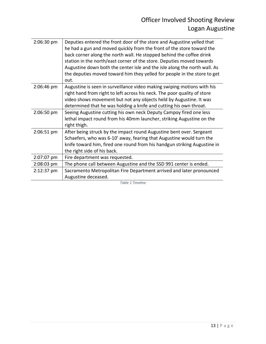| 2:06:30 pm | Deputies entered the front door of the store and Augustine yelled that<br>he had a gun and moved quickly from the front of the store toward the<br>back corner along the north wall. He stopped behind the coffee drink<br>station in the north/east corner of the store. Deputies moved towards<br>Augustine down both the center isle and the isle along the north wall. As<br>the deputies moved toward him they yelled for people in the store to get<br>out. |
|------------|-------------------------------------------------------------------------------------------------------------------------------------------------------------------------------------------------------------------------------------------------------------------------------------------------------------------------------------------------------------------------------------------------------------------------------------------------------------------|
| 2:06:46 pm | Augustine is seen in surveillance video making swiping motions with his<br>right hand from right to left across his neck. The poor quality of store<br>video shows movement but not any objects held by Augustine. It was<br>determined that he was holding a knife and cutting his own throat.                                                                                                                                                                   |
| 2:06:50 pm | Seeing Augustine cutting his own neck Deputy Campoy fired one less<br>lethal impact round from his 40mm launcher, striking Augustine on the<br>right thigh.                                                                                                                                                                                                                                                                                                       |
| 2:06:51 pm | After being struck by the impact round Augustine bent over. Sergeant<br>Schaefers, who was 6-10' away, fearing that Augustine would turn the<br>knife toward him, fired one round from his handgun striking Augustine in<br>the right side of his back.                                                                                                                                                                                                           |
| 2:07:07 pm | Fire department was requested.                                                                                                                                                                                                                                                                                                                                                                                                                                    |
| 2:08:03 pm | The phone call between Augustine and the SSD 991 center is ended.                                                                                                                                                                                                                                                                                                                                                                                                 |
| 2:12:37 pm | Sacramento Metropolitan Fire Department arrived and later pronounced<br>Augustine deceased.                                                                                                                                                                                                                                                                                                                                                                       |

*Table 1 Timeline*